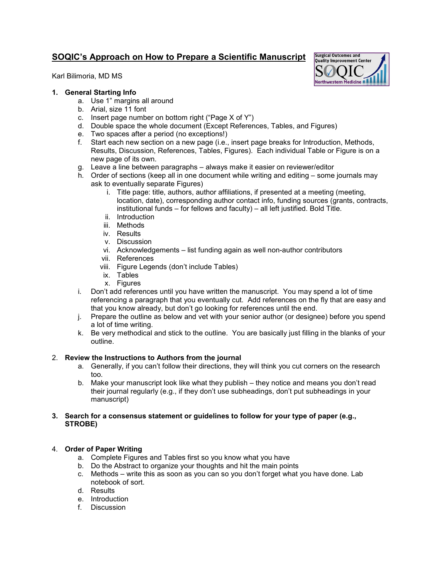# **SOQIC's Approach on How to Prepare a Scientific Manuscript**

Karl Bilimoria, MD MS



## **1. General Starting Info**

- a. Use 1" margins all around
- b. Arial, size 11 font
- c. Insert page number on bottom right ("Page X of Y")
- d. Double space the whole document (Except References, Tables, and Figures)
- e. Two spaces after a period (no exceptions!)
- f. Start each new section on a new page (i.e., insert page breaks for Introduction, Methods, Results, Discussion, References, Tables, Figures). Each individual Table or Figure is on a new page of its own.
- g. Leave a line between paragraphs always make it easier on reviewer/editor
- h. Order of sections (keep all in one document while writing and editing some journals may ask to eventually separate Figures)
	- i. Title page: title, authors, author affiliations, if presented at a meeting (meeting, location, date), corresponding author contact info, funding sources (grants, contracts, institutional funds – for fellows and faculty) – all left justified. Bold Title.
	- ii. Introduction
	- iii. Methods
	- iv. Results
	- v. Discussion
	- vi. Acknowledgements list funding again as well non-author contributors
	- vii. References
	- viii. Figure Legends (don't include Tables)
	- ix. Tables
	- x. Figures
- i. Don't add references until you have written the manuscript. You may spend a lot of time referencing a paragraph that you eventually cut. Add references on the fly that are easy and that you know already, but don't go looking for references until the end.
- j. Prepare the outline as below and vet with your senior author (or designee) before you spend a lot of time writing.
- k. Be very methodical and stick to the outline. You are basically just filling in the blanks of your outline.

### 2. **Review the Instructions to Authors from the journal**

- a. Generally, if you can't follow their directions, they will think you cut corners on the research too.
- b. Make your manuscript look like what they publish they notice and means you don't read their journal regularly (e.g., if they don't use subheadings, don't put subheadings in your manuscript)

#### **3. Search for a consensus statement or guidelines to follow for your type of paper (e.g., STROBE)**

### 4. **Order of Paper Writing**

- a. Complete Figures and Tables first so you know what you have
- b. Do the Abstract to organize your thoughts and hit the main points
- c. Methods write this as soon as you can so you don't forget what you have done. Lab notebook of sort.
- d. Results
- e. Introduction
- f. Discussion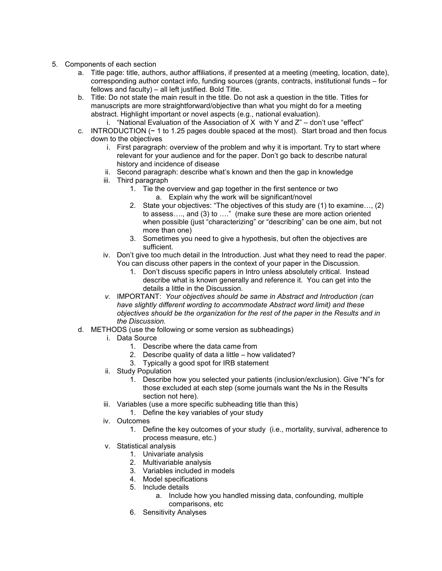- 5. Components of each section
	- a. Title page: title, authors, author affiliations, if presented at a meeting (meeting, location, date), corresponding author contact info, funding sources (grants, contracts, institutional funds – for fellows and faculty) – all left justified. Bold Title.
	- b. Title: Do not state the main result in the title. Do not ask a question in the title. Titles for manuscripts are more straightforward/objective than what you might do for a meeting abstract. Highlight important or novel aspects (e.g., national evaluation).
	- i. "National Evaluation of the Association of X with Y and  $Z$ " don't use "effect" c. INTRODUCTION (~ 1 to 1.25 pages double spaced at the most). Start broad and then focus down to the objectives
		- i. First paragraph: overview of the problem and why it is important. Try to start where relevant for your audience and for the paper. Don't go back to describe natural history and incidence of disease
		- ii. Second paragraph: describe what's known and then the gap in knowledge
		- iii. Third paragraph
			- 1. Tie the overview and gap together in the first sentence or two a. Explain why the work will be significant/novel
			- 2. State your objectives: "The objectives of this study are (1) to examine…, (2) to assess…., and (3) to …." (make sure these are more action oriented when possible (just "characterizing" or "describing" can be one aim, but not more than one)
			- 3. Sometimes you need to give a hypothesis, but often the objectives are sufficient.
		- iv. Don't give too much detail in the Introduction. Just what they need to read the paper. You can discuss other papers in the context of your paper in the Discussion.
			- 1. Don't discuss specific papers in Intro unless absolutely critical. Instead describe what is known generally and reference it. You can get into the details a little in the Discussion.
		- *v.* IMPORTANT: *Your objectives should be same in Abstract and Introduction (can have slightly different wording to accommodate Abstract word limit) and these objectives should be the organization for the rest of the paper in the Results and in the Discussion.*
	- d. METHODS (use the following or some version as subheadings)
		- i. Data Source
			- 1. Describe where the data came from
			- 2. Describe quality of data a little how validated?
			- 3. Typically a good spot for IRB statement
		- ii. Study Population
			- 1. Describe how you selected your patients (inclusion/exclusion). Give "N"s for those excluded at each step (some journals want the Ns in the Results section not here).
		- iii. Variables (use a more specific subheading title than this)
			- 1. Define the key variables of your study
		- iv. Outcomes
			- 1. Define the key outcomes of your study (i.e., mortality, survival, adherence to process measure, etc.)
		- v. Statistical analysis
			- 1. Univariate analysis
			- 2. Multivariable analysis
			- 3. Variables included in models
			- 4. Model specifications
			- 5. Include details
				- a. Include how you handled missing data, confounding, multiple comparisons, etc
			- 6. Sensitivity Analyses